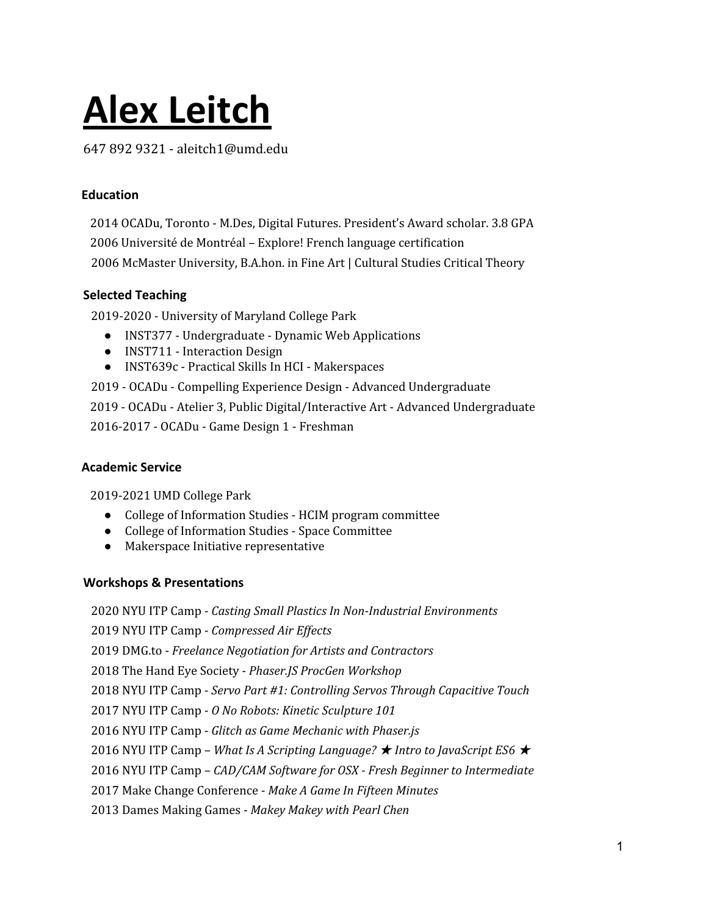# **Alex Leitch**

647 892 9321 - aleitch1@umd.edu

## **Education**

2014 OCADu, Toronto - M.Des, Digital Futures. President's Award scholar. 3.8 GPA 2006 Université de Montréal – Explore! French language certification 2006 McMaster University, B.A.hon. in Fine Art | Cultural Studies Critical Theory

## **Selected Teaching**

2019-2020 - University of Maryland College Park

- INST377 Undergraduate Dynamic Web Applications
- INST711 Interaction Design
- INST639c Practical Skills In HCI Makerspaces
- 2019 OCADu Compelling Experience Design Advanced Undergraduate

2019 - OCADu - Atelier 3, Public Digital/Interactive Art - Advanced Undergraduate

2016-2017 - OCADu - Game Design 1 - Freshman

# **Academic Service**

2019-2021 UMD College Park

- College of Information Studies HCIM program committee
- College of Information Studies Space Committee
- Makerspace Initiative representative

## **Workshops & Presentations**

 NYU ITP Camp - *Casting Small Plastics In Non-Industrial Environments* NYU ITP Camp - *Compressed Air Ef ects* DMG.to - *Freelance Negotiation for Artists and Contractors* The Hand Eye Society - *Phaser.JS ProcGen Workshop* NYU ITP Camp - *Servo Part #1: Controlling Servos Through Capacitive Touch* NYU ITP Camp - *O No Robots: Kinetic Sculpture 101* NYU ITP Camp - *Glitch as Game Mechanic with Phaser.js* NYU ITP Camp – *What Is A Scripting Language?* ★ *Intro to JavaScript ES6* ★ NYU ITP Camp – *CAD/CAM Software for OSX - Fresh Beginner to Intermediate* Make Change Conference - *Make A Game In Fifteen Minutes* Dames Making Games - *Makey Makey with Pearl Chen*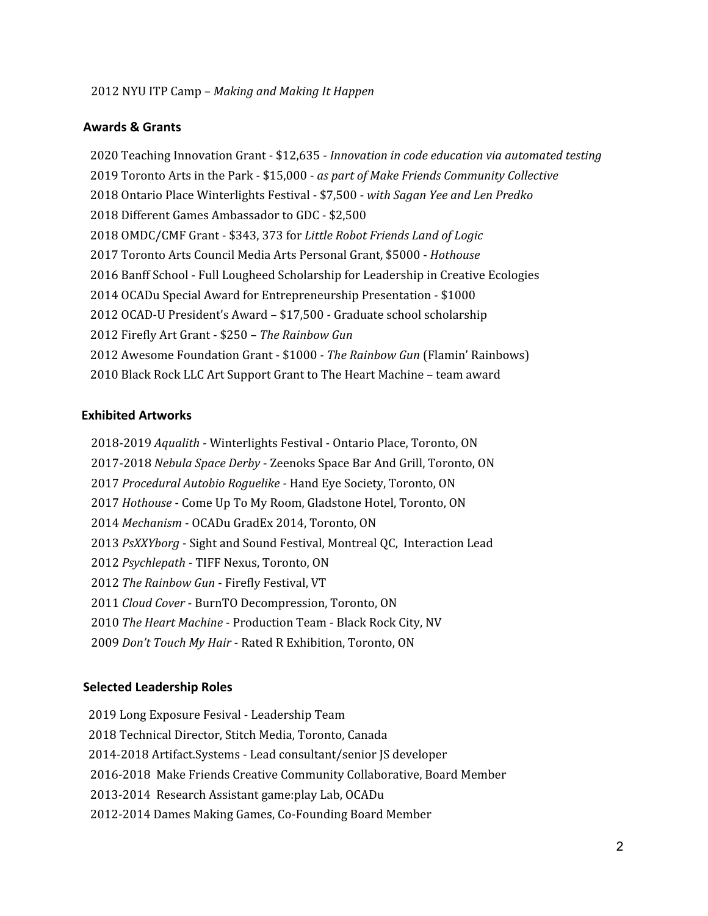#### **Awards & Grants**

 Teaching Innovation Grant - \$12,635 - *Innovation in code education via automated testing* Toronto Arts in the Park - \$15,000 - *as part of Make Friends Community Collective* Ontario Place Winterlights Festival - \$7,500 - *with Sagan Yee and Len Predko* Different Games Ambassador to GDC - \$2,500 OMDC/CMF Grant - \$343, 373 for *Little Robot Friends Land of Logic* Toronto Arts Council Media Arts Personal Grant, \$5000 - *Hothouse* Banff School - Full Lougheed Scholarship for Leadership in Creative Ecologies OCADu Special Award for Entrepreneurship Presentation - \$1000 OCAD-U President's Award – \$17,500 - Graduate school scholarship Firefly Art Grant - \$250 – *The Rainbow Gun* Awesome Foundation Grant - \$1000 *- The Rainbow Gun* (Flamin' Rainbows) Black Rock LLC Art Support Grant to The Heart Machine – team award

### **Exhibited Artworks**

2018-2019 *Aqualith* - Winterlights Festival - Ontario Place, Toronto, ON 2017-2018 *Nebula Space Derby* - Zeenoks Space Bar And Grill, Toronto, ON *Procedural Autobio Roguelike -* Hand Eye Society, Toronto, ON *Hothouse* - Come Up To My Room, Gladstone Hotel, Toronto, ON *Mechanism* - OCADu GradEx 2014, Toronto, ON *PsXXYborg* - Sight and Sound Festival, Montreal QC, Interaction Lead *Psychlepath* - TIFF Nexus, Toronto, ON *The Rainbow Gun* - Firefly Festival, VT *Cloud Cover* - BurnTO Decompression, Toronto, ON *The Heart Machine* - Production Team - Black Rock City, NV *Don't Touch My Hair* - Rated R Exhibition, Toronto, ON

#### **Selected Leadership Roles**

- Long Exposure Fesival Leadership Team
- Technical Director, Stitch Media, Toronto, Canada
- 2014-2018 Artifact.Systems Lead consultant/senior JS developer
- 2016-2018 Make Friends Creative Community Collaborative, Board Member
- 2013-2014 Research Assistant game:play Lab, OCADu
- 2012-2014 Dames Making Games, Co-Founding Board Member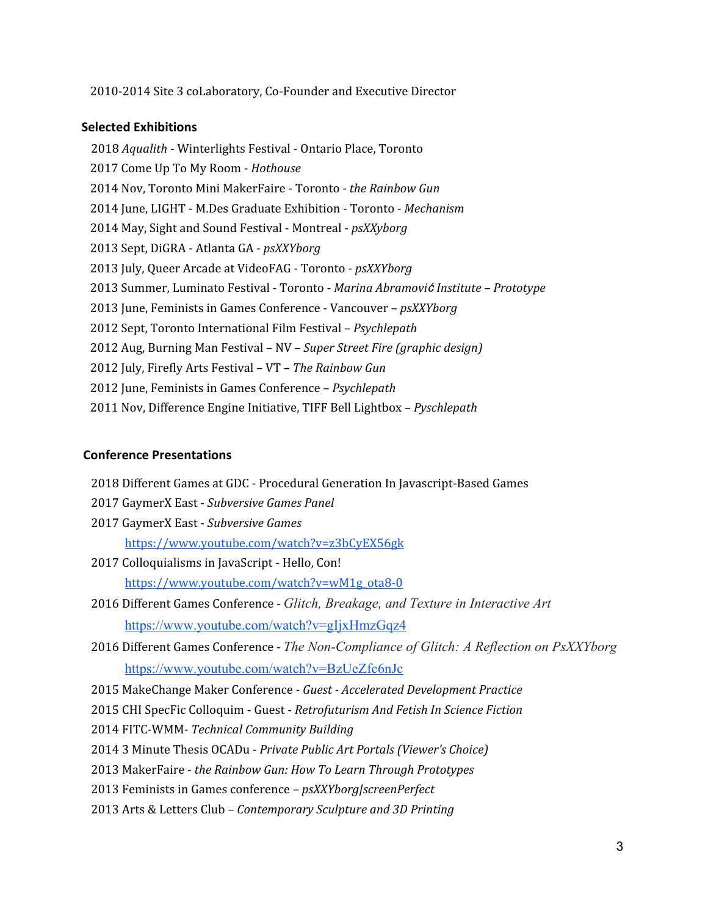2010-2014 Site 3 coLaboratory, Co-Founder and Executive Director

#### **Selected Exhibitions**

 *Aqualith* - Winterlights Festival - Ontario Place, Toronto Come Up To My Room - *Hothouse* Nov, Toronto Mini MakerFaire - Toronto - *the Rainbow Gun* June, LIGHT - M.Des Graduate Exhibition - Toronto - *Mechanism* May, Sight and Sound Festival - Montreal - *psXXyborg* Sept, DiGRA - Atlanta GA - *psXXYborg* July, Queer Arcade at VideoFAG - Toronto - *psXXYborg* Summer, Luminato Festival - Toronto - *Marina Abramovi*ć *Institute – Prototype* June, Feminists in Games Conference - Vancouver – *psXXYborg* Sept, Toronto International Film Festival – *Psychlepath* Aug, Burning Man Festival – NV – *Super Street Fire (graphic design)* July, Firefly Arts Festival – VT – *The Rainbow Gun* June, Feminists in Games Conference – *Psychlepath* Nov, Difference Engine Initiative, TIFF Bell Lightbox – *Pyschlepath*

#### **Conference Presentations**

Different Games at GDC - Procedural Generation In Javascript-Based Games

- GaymerX East *Subversive Games Panel*
- GaymerX East *Subversive Games* <https://www.youtube.com/watch?v=z3bCyEX56gk>
- Colloquialisms in JavaScript Hello, Con! [https://www.youtube.com/watch?v=wM1g\\_ota8-0](https://www.youtube.com/watch?v=wM1g_ota8-0)
- Different Games Conference *Glitch, Breakage, and Texture in Interactive Art* <https://www.youtube.com/watch?v=gIjxHmzGqz4>
- Different Games Conference *The Non-Compliance of Glitch: A Reflection on PsXXYborg* <https://www.youtube.com/watch?v=BzUeZfc6nJc>

MakeChange Maker Conference - *Guest - Accelerated Development Practice*

CHI SpecFic Colloquim - Guest - *Retrofuturism And Fetish In Science Fiction*

FITC-WMM- *Technical Community Building*

3 Minute Thesis OCADu - *Private Public Art Portals (Viewer's Choice)*

MakerFaire - *the Rainbow Gun: How To Learn Through Prototypes*

- Feminists in Games conference *psXXYborg|screenPerfect*
- Arts & Letters Club *Contemporary Sculpture and 3D Printing*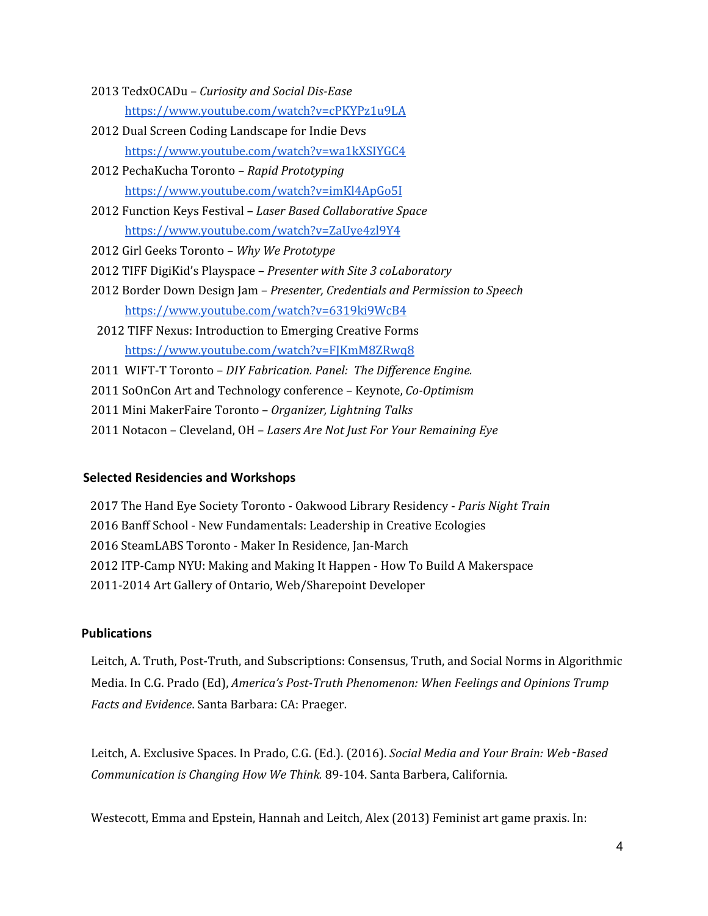- 2013 TedxOCADu *Curiosity and Social Dis-Ease* <https://www.youtube.com/watch?v=cPKYPz1u9LA>
- 2012 Dual Screen Coding Landscape for Indie Devs <https://www.youtube.com/watch?v=wa1kXSIYGC4>
- 2012 PechaKucha Toronto *Rapid Prototyping* <https://www.youtube.com/watch?v=imKl4ApGo5I>
- 2012 Function Keys Festival *Laser Based Collaborative Space* <https://www.youtube.com/watch?v=ZaUye4zl9Y4>
- 2012 Girl Geeks Toronto *Why We Prototype*
- 2012 TIFF DigiKid's Playspace *Presenter with Site 3 coLaboratory*
- 2012 Border Down Design Jam *Presenter, Credentials and Permission to Speech* <https://www.youtube.com/watch?v=6319ki9WcB4>
- 2012 TIFF Nexus: Introduction to Emerging Creative Forms <https://www.youtube.com/watch?v=FJKmM8ZRwq8>
- 2011 WIFT-T Toronto *DIY Fabrication. Panel: The Dif erence Engine.*
- 2011 SoOnCon Art and Technology conference Keynote, *Co-Optimism*
- 2011 Mini MakerFaire Toronto *Organizer, Lightning Talks*
- 2011 Notacon Cleveland, OH *Lasers Are Not Just For Your Remaining Eye*

#### **Selected Residencies and Workshops**

 The Hand Eye Society Toronto - Oakwood Library Residency - *Paris Night Train* Banff School - New Fundamentals: Leadership in Creative Ecologies SteamLABS Toronto - Maker In Residence, Jan-March ITP-Camp NYU: Making and Making It Happen - How To Build A Makerspace 2011-2014 Art Gallery of Ontario, Web/Sharepoint Developer

#### **Publications**

Leitch, A. Truth, Post-Truth, and Subscriptions: Consensus, Truth, and Social Norms in Algorithmic Media. In C.G. Prado (Ed), *America's Post-Truth Phenomenon: When Feelings and Opinions Trump Facts and Evidence*. Santa Barbara: CA: Praeger.

Leitch, A. Exclusive Spaces. In Prado, C.G. (Ed.). (2016). *Social Media and Your Brain: Web*‑*Based Communication is Changing How We Think.* 89-104. Santa Barbera, California.

Westecott, Emma and Epstein, Hannah and Leitch, Alex (2013) Feminist art game praxis. In: